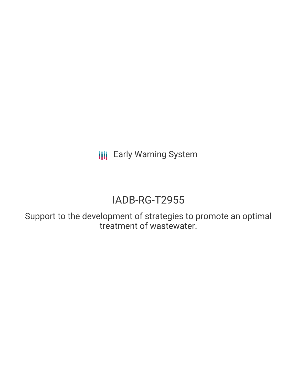**III** Early Warning System

## IADB-RG-T2955

Support to the development of strategies to promote an optimal treatment of wastewater.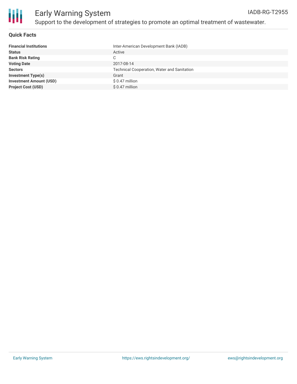

#### **Quick Facts**

| Inter-American Development Bank (IADB)             |
|----------------------------------------------------|
| Active                                             |
| C                                                  |
| 2017-08-14                                         |
| <b>Technical Cooperation, Water and Sanitation</b> |
| Grant                                              |
| \$ 0.47 million                                    |
| $$0.47$ million                                    |
|                                                    |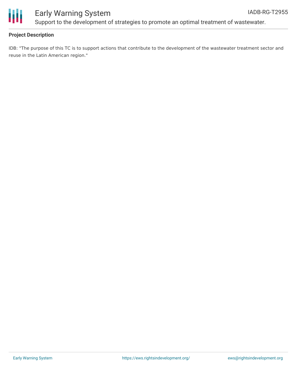

## Early Warning System Support to the development of strategies to promote an optimal treatment of wastewater.

## **Project Description**

IDB: "The purpose of this TC is to support actions that contribute to the development of the wastewater treatment sector and reuse in the Latin American region."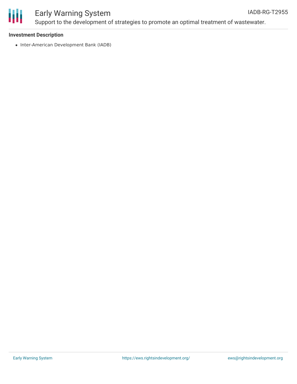

# ₩

## Early Warning System Support to the development of strategies to promote an optimal treatment of wastewater.

## **Investment Description**

• Inter-American Development Bank (IADB)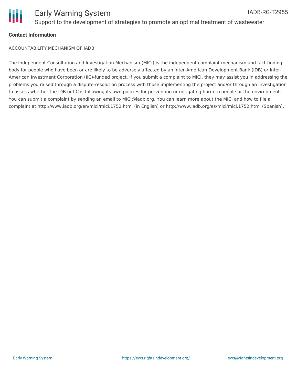

## **Contact Information**

ACCOUNTABILITY MECHANISM OF IADB

The Independent Consultation and Investigation Mechanism (MICI) is the independent complaint mechanism and fact-finding body for people who have been or are likely to be adversely affected by an Inter-American Development Bank (IDB) or Inter-American Investment Corporation (IIC)-funded project. If you submit a complaint to MICI, they may assist you in addressing the problems you raised through a dispute-resolution process with those implementing the project and/or through an investigation to assess whether the IDB or IIC is following its own policies for preventing or mitigating harm to people or the environment. You can submit a complaint by sending an email to MICI@iadb.org. You can learn more about the MICI and how to file a complaint at http://www.iadb.org/en/mici/mici,1752.html (in English) or http://www.iadb.org/es/mici/mici,1752.html (Spanish).